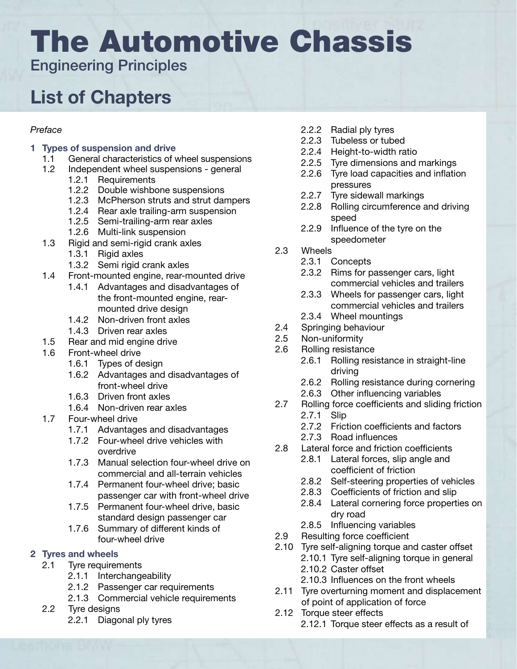# The Automotive Chassis

Engineering Principles

# List of Chapters

#### *Preface*

#### 1 Types of suspension and drive

- 1.1 General characteristics of wheel suspensions
- 1.2 Independent wheel suspensions general
	- 1.2.1 Requirements
	- 1.2.2 Double wishbone suspensions
	- 1.2.3 McPherson struts and strut dampers
	- 1.2.4 Rear axle trailing-arm suspension
	- 1.2.5 Semi-trailing-arm rear axles
	- 1.2.6 Multi-link suspension
- 1.3 Rigid and semi-rigid crank axles
	- 1.3.1 Rigid axles
	- 1.3.2 Semi rigid crank axles
- 1.4 Front-mounted engine, rear-mounted drive
	- 1.4.1 Advantages and disadvantages of the front-mounted engine, rear- mounted drive design
	- 1.4.2 Non-driven front axles
	- 1.4.3 Driven rear axles
- 1.5 Rear and mid engine drive
- 1.6 Front-wheel drive
	- 1.6.1 Types of design
	- 1.6.2 Advantages and disadvantages of front-wheel drive
	- 1.6.3 Driven front axles
	- 1.6.4 Non-driven rear axles
- 1.7 Four-wheel drive
	- 1.7.1 Advantages and disadvantages
	- 1.7.2 Four-wheel drive vehicles with overdrive
	- 1.7.3 Manual selection four-wheel drive on commercial and all-terrain vehicles
	- 1.7.4 Permanent four-wheel drive; basic passenger car with front-wheel drive
	- 1.7.5 Permanent four-wheel drive, basic standard design passenger car
	- 1.7.6 Summary of different kinds of four-wheel drive

#### 2 Tyres and wheels

- 2.1 Tyre requirements
	- 2.1.1 Interchangeability
	- 2.1.2 Passenger car requirements
	- 2.1.3 Commercial vehicle requirements
- 2.2 Tyre designs
	- 2.2.1 Diagonal ply tyres
- 2.2.2 Radial ply tyres
- 2.2.3 Tubeless or tubed
- 2.2.4 Height-to-width ratio
- 2.2.5 Tyre dimensions and markings
- 2.2.6 Tyre load capacities and inflation pressures
- 2.2.7 Tyre sidewall markings
- 2.2.8 Rolling circumference and driving speed
- 2.2.9 Influence of the tyre on the speedometer
- 2.3 Wheels
	- 2.3.1 Concepts
	- 2.3.2 Rims for passenger cars, light commercial vehicles and trailers
	- 2.3.3 Wheels for passenger cars, light commercial vehicles and trailers
	- 2.3.4 Wheel mountings
- 2.4 Springing behaviour
- 2.5 Non-uniformity
- 2.6 Rolling resistance
	- 2.6.1 Rolling resistance in straight-line driving
	- 2.6.2 Rolling resistance during cornering
	- 2.6.3 Other influencing variables
- 2.7 Rolling force coefficients and sliding friction
	- 2.7.1 Slip
	- 2.7.2 Friction coefficients and factors
	- 2.7.3 Road influences
- 2.8 Lateral force and friction coefficients
	- 2.8.1 Lateral forces, slip angle and coefficient of friction
	- 2.8.2 Self-steering properties of vehicles
	- 2.8.3 Coefficients of friction and slip
	- 2.8.4 Lateral cornering force properties on dry road
	- 2.8.5 Influencing variables
- 2.9 Resulting force coefficient
- 2.10 Tyre self-aligning torque and caster offset
	- 2.10.1 Tyre self-aligning torque in general
	- 2.10.2 Caster offset
	- 2.10.3 Influences on the front wheels
- 2.11 Tyre overturning moment and displacement of point of application of force
- 2.12 Torque steer effects
	- 2.12.1 Torque steer effects as a result of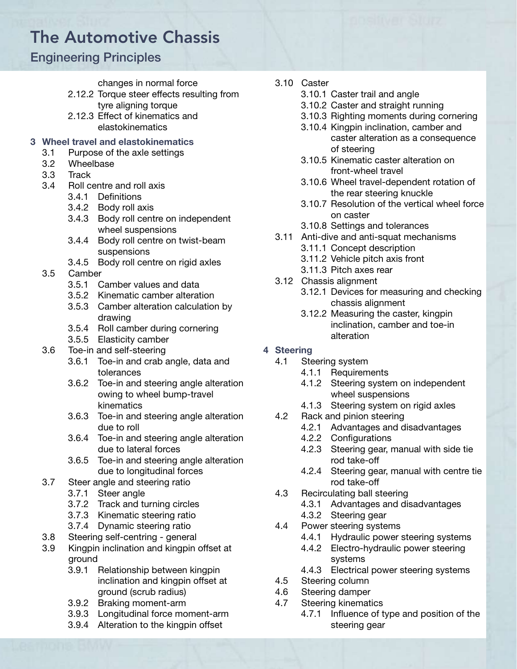# The Automotive Chassis

### Engineering Principles

#### changes in normal force

- 2.12.2 Torque steer effects resulting from tyre aligning torque
- 2.12.3 Effect of kinematics and elastokinematics

#### 3 Wheel travel and elastokinematics

- 3.1 Purpose of the axle settings
- 3.2 Wheelbase
- 3.3 Track
- 3.4 Roll centre and roll axis
	- 3.4.1 Definitions
	- 3.4.2 Body roll axis
	- 3.4.3 Body roll centre on independent wheel suspensions
	- 3.4.4 Body roll centre on twist-beam suspensions
	- 3.4.5 Body roll centre on rigid axles
- 3.5 Camber
	- 3.5.1 Camber values and data
	- 3.5.2 Kinematic camber alteration
	- 3.5.3 Camber alteration calculation by drawing
	- 3.5.4 Roll camber during cornering
	- 3.5.5 Elasticity camber
- 3.6 Toe-in and self-steering
	- 3.6.1 Toe-in and crab angle, data and tolerances
	- 3.6.2 Toe-in and steering angle alteration owing to wheel bump-travel kinematics
	- 3.6.3 Toe-in and steering angle alteration due to roll
	- 3.6.4 Toe-in and steering angle alteration due to lateral forces
	- 3.6.5 Toe-in and steering angle alteration due to longitudinal forces
- 3.7 Steer angle and steering ratio
	- 3.7.1 Steer angle
	- 3.7.2 Track and turning circles
	- 3.7.3 Kinematic steering ratio
	- 3.7.4 Dynamic steering ratio
- 3.8 Steering self-centring general
- 3.9 Kingpin inclination and kingpin offset at ground
	- 3.9.1 Relationship between kingpin inclination and kingpin offset at ground (scrub radius)
	- 3.9.2 Braking moment-arm
	- 3.9.3 Longitudinal force moment-arm
	- 3.9.4 Alteration to the kingpin offset
- 3.10 Caster
	- 3.10.1 Caster trail and angle
	- 3.10.2 Caster and straight running
	- 3.10.3 Righting moments during cornering
	- 3.10.4 Kingpin inclination, camber and caster alteration as a consequence of steering
	- 3.10.5 Kinematic caster alteration on front-wheel travel
	- 3.10.6 Wheel travel-dependent rotation of the rear steering knuckle
	- 3.10.7 Resolution of the vertical wheel force on caster
	- 3.10.8 Settings and tolerances
- 3.11 Anti-dive and anti-squat mechanisms
	- 3.11.1 Concept description
	- 3.11.2 Vehicle pitch axis front
	- 3.11.3 Pitch axes rear
- 3.12 Chassis alignment
	- 3.12.1 Devices for measuring and checking chassis alignment
	- 3.12.2 Measuring the caster, kingpin inclination, camber and toe-in alteration

#### 4 Steering

- 4.1 Steering system
	- 4.1.1 Requirements
	- 4.1.2 Steering system on independent wheel suspensions
	- 4.1.3 Steering system on rigid axles
- 4.2 Rack and pinion steering
	- 4.2.1 Advantages and disadvantages
	- 4.2.2 Configurations
	- 4.2.3 Steering gear, manual with side tie rod take-off
	- 4.2.4 Steering gear, manual with centre tie rod take-off
- 4.3 Recirculating ball steering
	- 4.3.1 Advantages and disadvantages
- 4.3.2 Steering gear
- 4.4 Power steering systems
	- 4.4.1 Hydraulic power steering systems
	- 4.4.2 Electro-hydraulic power steering systems
	- 4.4.3 Electrical power steering systems
- 4.5 Steering column
- 4.6 Steering damper
- 4.7 Steering kinematics
	- 4.7.1 Influence of type and position of the steering gear